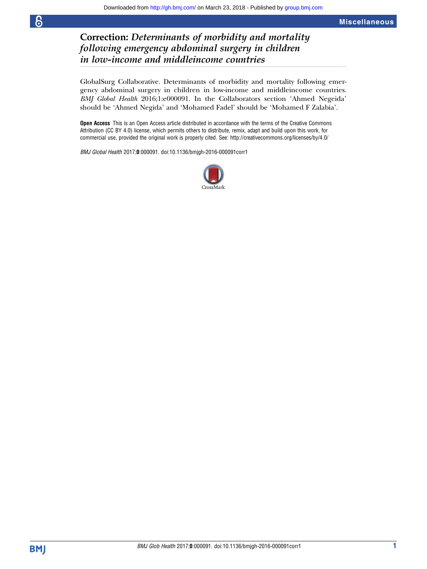## Correction: Determinants of morbidity and mortality following emergency abdominal surgery in children in low-income and middleincome countries

GlobalSurg Collaborative. Determinants of morbidity and mortality following emergency abdominal surgery in children in low-income and middleincome countries. BMJ Global Health 2016;1:e000091. In the Collaborators section 'Ahmed Negeida' should be 'Ahmed Negida' and 'Mohamed Fadel' should be 'Mohamed F Zalabia'.

**Open Access** This is an Open Access article distributed in accordance with the terms of the Creative Commons Attribution (CC BY 4.0) license, which permits others to distribute, remix, adapt and build upon this work, for commercial use, provided the original work is properly cited. See:<http://creativecommons.org/licenses/by/4.0/>

BMJ Global Health 2017;0:000091. doi:10.1136/bmjgh-2016-000091corr1